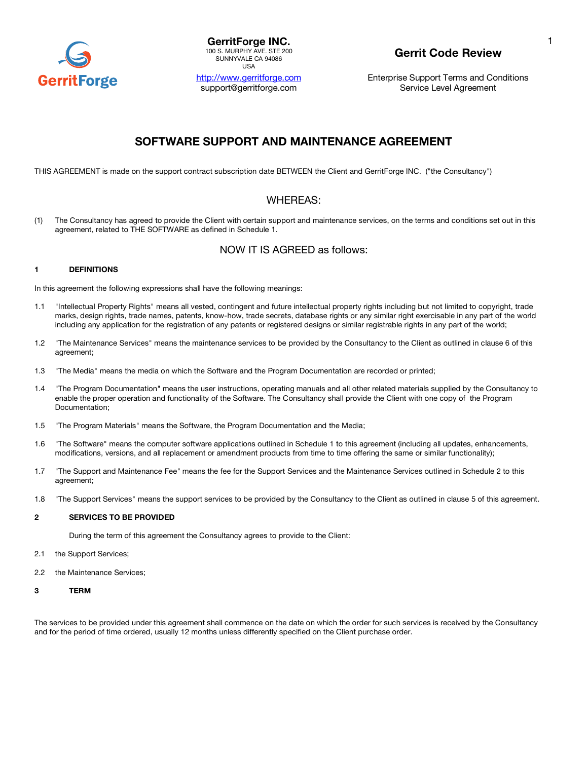

| <b>GerritForge INC.</b>    |
|----------------------------|
| 100 S. MURPHY AVE, STE 200 |
| SUNNYVALE CA 94086         |
| USA                        |

http://www.gerritforge.com support@gerritforge.com

## **Gerrit Code Review**

Enterprise Support Terms and Conditions Service Level Agreement

## **SOFTWARE SUPPORT AND MAINTENANCE AGREEMENT**

THIS AGREEMENT is made on the support contract subscription date BETWEEN the Client and GerritForge INC. ("the Consultancy")

## WHEREAS:

(1) The Consultancy has agreed to provide the Client with certain support and maintenance services, on the terms and conditions set out in this agreement, related to THE SOFTWARE as defined in Schedule 1.

## NOW IT IS AGREED as follows:

## **1 DEFINITIONS**

In this agreement the following expressions shall have the following meanings:

- 1.1 "Intellectual Property Rights" means all vested, contingent and future intellectual property rights including but not limited to copyright, trade marks, design rights, trade names, patents, know-how, trade secrets, database rights or any similar right exercisable in any part of the world including any application for the registration of any patents or registered designs or similar registrable rights in any part of the world;
- 1.2 "The Maintenance Services" means the maintenance services to be provided by the Consultancy to the Client as outlined in clause 6 of this agreement;
- 1.3 "The Media" means the media on which the Software and the Program Documentation are recorded or printed;
- 1.4 "The Program Documentation" means the user instructions, operating manuals and all other related materials supplied by the Consultancy to enable the proper operation and functionality of the Software. The Consultancy shall provide the Client with one copy of the Program Documentation;
- 1.5 "The Program Materials" means the Software, the Program Documentation and the Media;
- 1.6 "The Software" means the computer software applications outlined in Schedule 1 to this agreement (including all updates, enhancements, modifications, versions, and all replacement or amendment products from time to time offering the same or similar functionality);
- 1.7 "The Support and Maintenance Fee" means the fee for the Support Services and the Maintenance Services outlined in Schedule 2 to this agreement;
- 1.8 "The Support Services" means the support services to be provided by the Consultancy to the Client as outlined in clause 5 of this agreement.

## **2 SERVICES TO BE PROVIDED**

During the term of this agreement the Consultancy agrees to provide to the Client:

- 2.1 the Support Services;
- 2.2 the Maintenance Services;
- **3 TERM**

The services to be provided under this agreement shall commence on the date on which the order for such services is received by the Consultancy and for the period of time ordered, usually 12 months unless differently specified on the Client purchase order.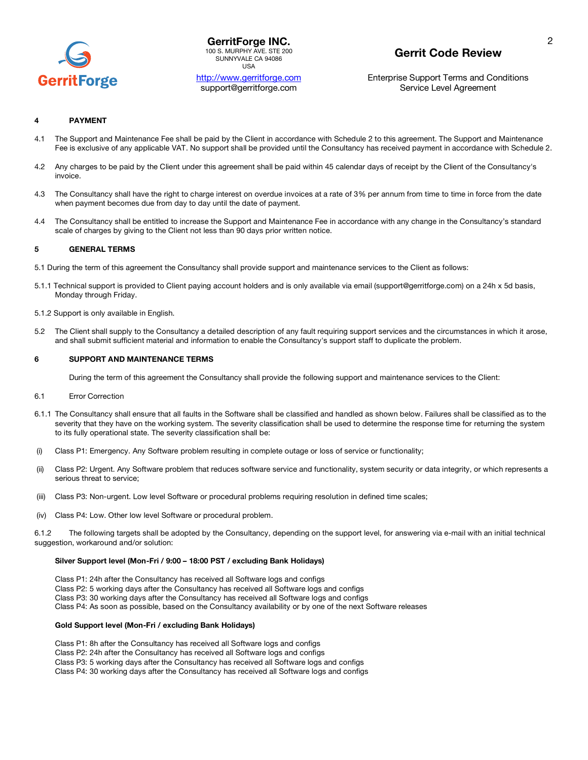

**GerritForge INC.** 100 S. MURPHY AVE. STE 200 SUNNYVALE CA 94086 USA

## http://www.gerritforge.com support@gerritforge.com

# **Gerrit Code Review**

Enterprise Support Terms and Conditions Service Level Agreement

### **4 PAYMENT**

- 4.1 The Support and Maintenance Fee shall be paid by the Client in accordance with Schedule 2 to this agreement. The Support and Maintenance Fee is exclusive of any applicable VAT. No support shall be provided until the Consultancy has received payment in accordance with Schedule 2.
- 4.2 Any charges to be paid by the Client under this agreement shall be paid within 45 calendar days of receipt by the Client of the Consultancy's invoice.
- 4.3 The Consultancy shall have the right to charge interest on overdue invoices at a rate of 3% per annum from time to time in force from the date when payment becomes due from day to day until the date of payment.
- 4.4 The Consultancy shall be entitled to increase the Support and Maintenance Fee in accordance with any change in the Consultancy's standard scale of charges by giving to the Client not less than 90 days prior written notice.

### **5 GENERAL TERMS**

- 5.1 During the term of this agreement the Consultancy shall provide support and maintenance services to the Client as follows:
- 5.1.1 Technical support is provided to Client paying account holders and is only available via email (support@gerritforge.com) on a 24h x 5d basis, Monday through Friday.
- 5.1.2 Support is only available in English.
- 5.2 The Client shall supply to the Consultancy a detailed description of any fault requiring support services and the circumstances in which it arose, and shall submit sufficient material and information to enable the Consultancy's support staff to duplicate the problem.

#### **6 SUPPORT AND MAINTENANCE TERMS**

During the term of this agreement the Consultancy shall provide the following support and maintenance services to the Client:

- 6.1 Error Correction
- 6.1.1 The Consultancy shall ensure that all faults in the Software shall be classified and handled as shown below. Failures shall be classified as to the severity that they have on the working system. The severity classification shall be used to determine the response time for returning the system to its fully operational state. The severity classification shall be:
- (i) Class P1: Emergency. Any Software problem resulting in complete outage or loss of service or functionality;
- (ii) Class P2: Urgent. Any Software problem that reduces software service and functionality, system security or data integrity, or which represents a serious threat to service;
- (iii) Class P3: Non-urgent. Low level Software or procedural problems requiring resolution in defined time scales;
- (iv) Class P4: Low. Other low level Software or procedural problem.

6.1.2 The following targets shall be adopted by the Consultancy, depending on the support level, for answering via e-mail with an initial technical suggestion, workaround and/or solution:

### **Silver Support level (Mon-Fri / 9:00 – 18:00 PST / excluding Bank Holidays)**

- Class P1: 24h after the Consultancy has received all Software logs and configs
- Class P2: 5 working days after the Consultancy has received all Software logs and configs
- Class P3: 30 working days after the Consultancy has received all Software logs and configs
- Class P4: As soon as possible, based on the Consultancy availability or by one of the next Software releases

#### **Gold Support level (Mon-Fri / excluding Bank Holidays)**

Class P1: 8h after the Consultancy has received all Software logs and configs

Class P2: 24h after the Consultancy has received all Software logs and configs

Class P3: 5 working days after the Consultancy has received all Software logs and configs

Class P4: 30 working days after the Consultancy has received all Software logs and configs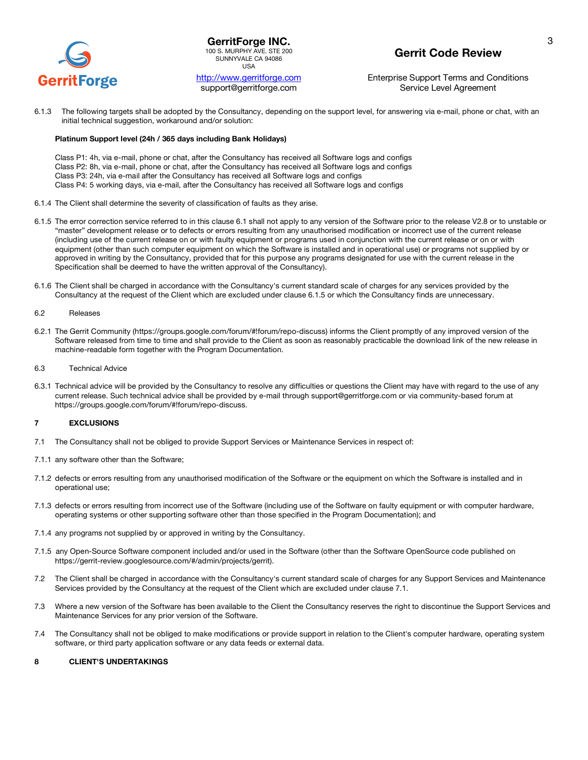

**GerritForge INC.** 100 S. MURPHY AVE. STE 200 SUNNYVALE CA 94086 USA

http://www.gerritforge.com support@gerritforge.com

# **Gerrit Code Review**

Enterprise Support Terms and Conditions Service Level Agreement

6.1.3 The following targets shall be adopted by the Consultancy, depending on the support level, for answering via e-mail, phone or chat, with an initial technical suggestion, workaround and/or solution:

#### **Platinum Support level (24h / 365 days including Bank Holidays)**

Class P1: 4h, via e-mail, phone or chat, after the Consultancy has received all Software logs and configs Class P2: 8h, via e-mail, phone or chat, after the Consultancy has received all Software logs and configs Class P3: 24h, via e-mail after the Consultancy has received all Software logs and configs Class P4: 5 working days, via e-mail, after the Consultancy has received all Software logs and configs

- 6.1.4 The Client shall determine the severity of classification of faults as they arise.
- 6.1.5 The error correction service referred to in this clause 6.1 shall not apply to any version of the Software prior to the release V2.8 or to unstable or "master" development release or to defects or errors resulting from any unauthorised modification or incorrect use of the current release (including use of the current release on or with faulty equipment or programs used in conjunction with the current release or on or with equipment (other than such computer equipment on which the Software is installed and in operational use) or programs not supplied by or approved in writing by the Consultancy, provided that for this purpose any programs designated for use with the current release in the Specification shall be deemed to have the written approval of the Consultancy).
- 6.1.6 The Client shall be charged in accordance with the Consultancy's current standard scale of charges for any services provided by the Consultancy at the request of the Client which are excluded under clause 6.1.5 or which the Consultancy finds are unnecessary.

#### 6.2 Releases

- 6.2.1 The Gerrit Community (https://groups.google.com/forum/#!forum/repo-discuss) informs the Client promptly of any improved version of the Software released from time to time and shall provide to the Client as soon as reasonably practicable the download link of the new release in machine-readable form together with the Program Documentation.
- 6.3 Technical Advice
- 6.3.1 Technical advice will be provided by the Consultancy to resolve any difficulties or questions the Client may have with regard to the use of any current release. Such technical advice shall be provided by e-mail through support@gerritforge.com or via community-based forum at https://groups.google.com/forum/#!forum/repo-discuss.

## **7 EXCLUSIONS**

- 7.1 The Consultancy shall not be obliged to provide Support Services or Maintenance Services in respect of:
- 7.1.1 any software other than the Software;
- 7.1.2 defects or errors resulting from any unauthorised modification of the Software or the equipment on which the Software is installed and in operational use;
- 7.1.3 defects or errors resulting from incorrect use of the Software (including use of the Software on faulty equipment or with computer hardware, operating systems or other supporting software other than those specified in the Program Documentation); and
- 7.1.4 any programs not supplied by or approved in writing by the Consultancy.
- 7.1.5 any Open-Source Software component included and/or used in the Software (other than the Software OpenSource code published on https://gerrit-review.googlesource.com/#/admin/projects/gerrit).
- 7.2 The Client shall be charged in accordance with the Consultancy's current standard scale of charges for any Support Services and Maintenance Services provided by the Consultancy at the request of the Client which are excluded under clause 7.1.
- 7.3 Where a new version of the Software has been available to the Client the Consultancy reserves the right to discontinue the Support Services and Maintenance Services for any prior version of the Software.
- 7.4 The Consultancy shall not be obliged to make modifications or provide support in relation to the Client's computer hardware, operating system software, or third party application software or any data feeds or external data.

#### **8 CLIENT'S UNDERTAKINGS**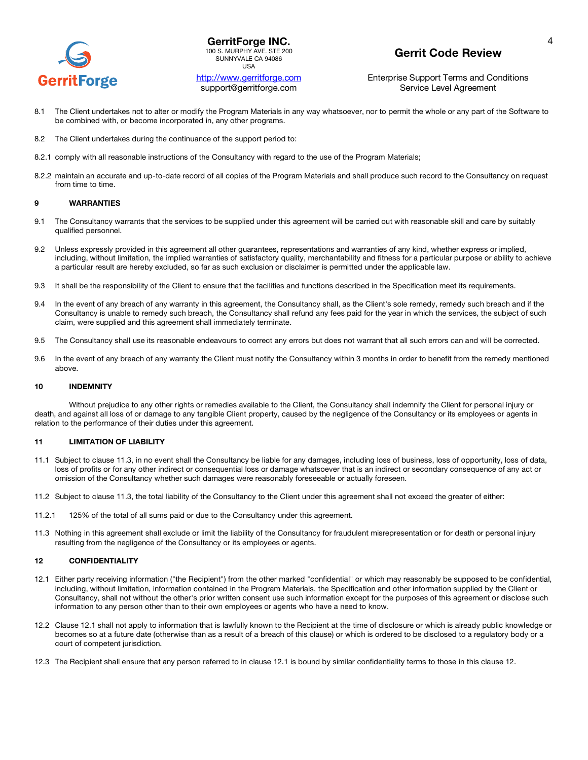

http://www.gerritforge.com support@gerritforge.com

## **Gerrit Code Review**

Enterprise Support Terms and Conditions Service Level Agreement

- 8.1 The Client undertakes not to alter or modify the Program Materials in any way whatsoever, nor to permit the whole or any part of the Software to be combined with, or become incorporated in, any other programs.
- 8.2 The Client undertakes during the continuance of the support period to:
- 8.2.1 comply with all reasonable instructions of the Consultancy with regard to the use of the Program Materials;
- 8.2.2 maintain an accurate and up-to-date record of all copies of the Program Materials and shall produce such record to the Consultancy on request from time to time.

#### **9 WARRANTIES**

- 9.1 The Consultancy warrants that the services to be supplied under this agreement will be carried out with reasonable skill and care by suitably qualified personnel.
- 9.2 Unless expressly provided in this agreement all other guarantees, representations and warranties of any kind, whether express or implied, including, without limitation, the implied warranties of satisfactory quality, merchantability and fitness for a particular purpose or ability to achieve a particular result are hereby excluded, so far as such exclusion or disclaimer is permitted under the applicable law.
- 9.3 It shall be the responsibility of the Client to ensure that the facilities and functions described in the Specification meet its requirements.
- 9.4 In the event of any breach of any warranty in this agreement, the Consultancy shall, as the Client's sole remedy, remedy such breach and if the Consultancy is unable to remedy such breach, the Consultancy shall refund any fees paid for the year in which the services, the subject of such claim, were supplied and this agreement shall immediately terminate.
- 9.5 The Consultancy shall use its reasonable endeavours to correct any errors but does not warrant that all such errors can and will be corrected.
- 9.6 In the event of any breach of any warranty the Client must notify the Consultancy within 3 months in order to benefit from the remedy mentioned above.

#### **10 INDEMNITY**

Without prejudice to any other rights or remedies available to the Client, the Consultancy shall indemnify the Client for personal injury or death, and against all loss of or damage to any tangible Client property, caused by the negligence of the Consultancy or its employees or agents in relation to the performance of their duties under this agreement.

#### **11 LIMITATION OF LIABILITY**

- 11.1 Subject to clause 11.3, in no event shall the Consultancy be liable for any damages, including loss of business, loss of opportunity, loss of data, loss of profits or for any other indirect or consequential loss or damage whatsoever that is an indirect or secondary consequence of any act or omission of the Consultancy whether such damages were reasonably foreseeable or actually foreseen.
- 11.2 Subject to clause 11.3, the total liability of the Consultancy to the Client under this agreement shall not exceed the greater of either:
- 11.2.1 125% of the total of all sums paid or due to the Consultancy under this agreement.
- 11.3 Nothing in this agreement shall exclude or limit the liability of the Consultancy for fraudulent misrepresentation or for death or personal injury resulting from the negligence of the Consultancy or its employees or agents.

## **12 CONFIDENTIALITY**

- 12.1 Either party receiving information ("the Recipient") from the other marked "confidential" or which may reasonably be supposed to be confidential, including, without limitation, information contained in the Program Materials, the Specification and other information supplied by the Client or Consultancy, shall not without the other's prior written consent use such information except for the purposes of this agreement or disclose such information to any person other than to their own employees or agents who have a need to know.
- 12.2 Clause 12.1 shall not apply to information that is lawfully known to the Recipient at the time of disclosure or which is already public knowledge or becomes so at a future date (otherwise than as a result of a breach of this clause) or which is ordered to be disclosed to a regulatory body or a court of competent jurisdiction.
- 12.3 The Recipient shall ensure that any person referred to in clause 12.1 is bound by similar confidentiality terms to those in this clause 12.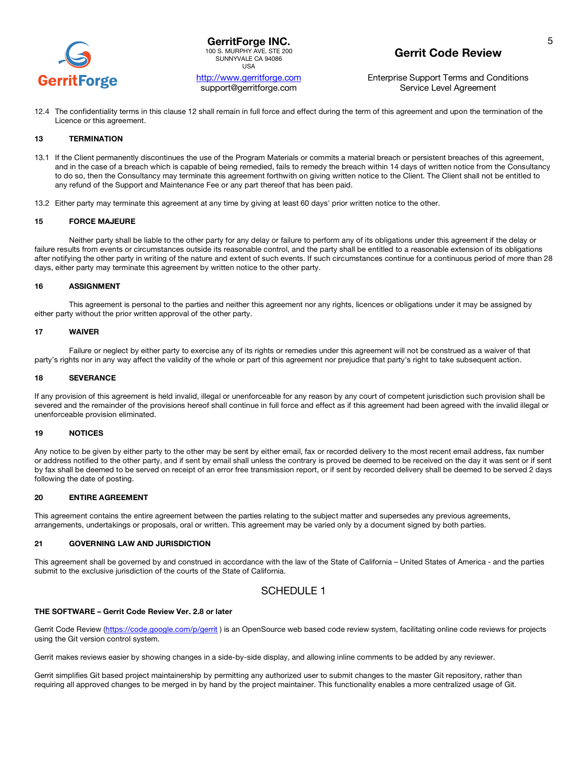

**GerritForge INC.** 100 S. MURPHY AVE. STE 200 SUNNYVALE CA 94086 USA

## http://www.gerritforge.com support@gerritforge.com

# **Gerrit Code Review**

Enterprise Support Terms and Conditions Service Level Agreement

12.4 The confidentiality terms in this clause 12 shall remain in full force and effect during the term of this agreement and upon the termination of the Licence or this agreement.

### **13 TERMINATION**

- 13.1 If the Client permanently discontinues the use of the Program Materials or commits a material breach or persistent breaches of this agreement, and in the case of a breach which is capable of being remedied, fails to remedy the breach within 14 days of written notice from the Consultancy to do so, then the Consultancy may terminate this agreement forthwith on giving written notice to the Client. The Client shall not be entitled to any refund of the Support and Maintenance Fee or any part thereof that has been paid.
- 13.2 Either party may terminate this agreement at any time by giving at least 60 days' prior written notice to the other.

### **15 FORCE MAJEURE**

Neither party shall be liable to the other party for any delay or failure to perform any of its obligations under this agreement if the delay or failure results from events or circumstances outside its reasonable control, and the party shall be entitled to a reasonable extension of its obligations after notifying the other party in writing of the nature and extent of such events. If such circumstances continue for a continuous period of more than 28 days, either party may terminate this agreement by written notice to the other party.

#### **16 ASSIGNMENT**

This agreement is personal to the parties and neither this agreement nor any rights, licences or obligations under it may be assigned by either party without the prior written approval of the other party.

#### **17 WAIVER**

Failure or neglect by either party to exercise any of its rights or remedies under this agreement will not be construed as a waiver of that party's rights nor in any way affect the validity of the whole or part of this agreement nor prejudice that party's right to take subsequent action.

#### **18 SEVERANCE**

If any provision of this agreement is held invalid, illegal or unenforceable for any reason by any court of competent jurisdiction such provision shall be severed and the remainder of the provisions hereof shall continue in full force and effect as if this agreement had been agreed with the invalid illegal or unenforceable provision eliminated.

#### **19 NOTICES**

Any notice to be given by either party to the other may be sent by either email, fax or recorded delivery to the most recent email address, fax number or address notified to the other party, and if sent by email shall unless the contrary is proved be deemed to be received on the day it was sent or if sent by fax shall be deemed to be served on receipt of an error free transmission report, or if sent by recorded delivery shall be deemed to be served 2 days following the date of posting.

### **20 ENTIRE AGREEMENT**

This agreement contains the entire agreement between the parties relating to the subject matter and supersedes any previous agreements, arrangements, undertakings or proposals, oral or written. This agreement may be varied only by a document signed by both parties.

### **21 GOVERNING LAW AND JURISDICTION**

This agreement shall be governed by and construed in accordance with the law of the State of California – United States of America - and the parties submit to the exclusive jurisdiction of the courts of the State of California.

## SCHEDULE 1

#### **THE SOFTWARE – Gerrit Code Review Ver. 2.8 or later**

Gerrit Code Review (https://code.google.com/p/gerrit) is an OpenSource web based code review system, facilitating online code reviews for projects using the Git version control system.

Gerrit makes reviews easier by showing changes in a side-by-side display, and allowing inline comments to be added by any reviewer.

Gerrit simplifies Git based project maintainership by permitting any authorized user to submit changes to the master Git repository, rather than requiring all approved changes to be merged in by hand by the project maintainer. This functionality enables a more centralized usage of Git.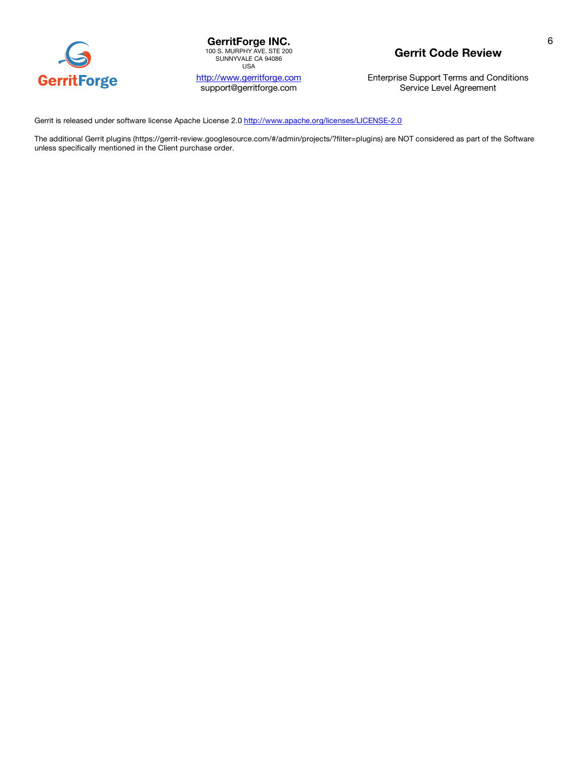

**GerritForge INC.**<br>
100 S. MURPHY AVE. STE 200<br>
SUNNYVALE CA 94086 USA

http://www.gerritforge.com support@gerritforge.com

# **Gerrit Code Review**

Enterprise Support Terms and Conditions Service Level Agreement

Gerrit is released under software license Apache License 2.0 http://www.apache.org/licenses/LICENSE-2.0

The additional Gerrit plugins (https://gerrit-review.googlesource.com/#/admin/projects/?filter=plugins) are NOT considered as part of the Software unless specifically mentioned in the Client purchase order.